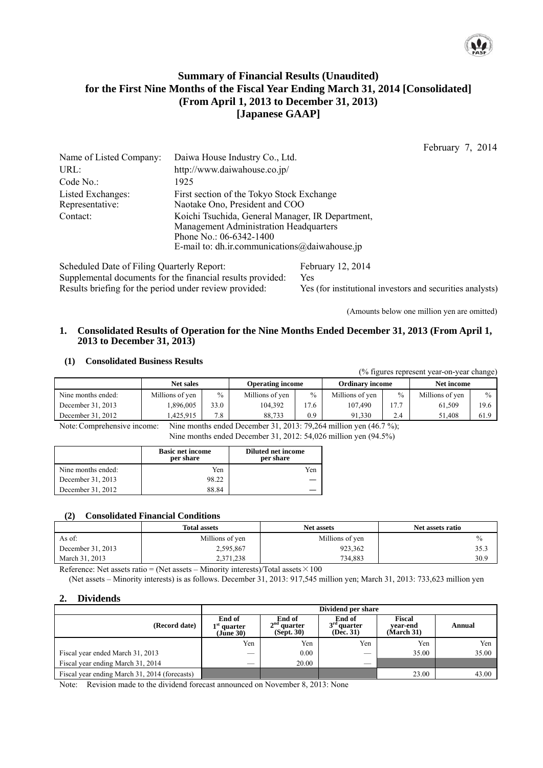

# **Summary of Financial Results (Unaudited) for the First Nine Months of the Fiscal Year Ending March 31, 2014 [Consolidated] (From April 1, 2013 to December 31, 2013) [Japanese GAAP]**

February 7, 2014

| Name of Listed Company:                     | Daiwa House Industry Co., Ltd.                                                                                                                                         |
|---------------------------------------------|------------------------------------------------------------------------------------------------------------------------------------------------------------------------|
| URL:                                        | http://www.daiwahouse.co.jp/                                                                                                                                           |
| Code No.:                                   | 1925                                                                                                                                                                   |
| <b>Listed Exchanges:</b><br>Representative: | First section of the Tokyo Stock Exchange<br>Naotake Ono, President and COO                                                                                            |
| Contact:                                    | Koichi Tsuchida, General Manager, IR Department,<br>Management Administration Headquarters<br>Phone No.: 06-6342-1400<br>E-mail to: dh.ir.communications@daiwahouse.jp |

Scheduled Date of Filing Quarterly Report: February 12, 2014 Supplemental documents for the financial results provided: Yes Results briefing for the period under review provided: Yes (for institutional investors and securities analysts)

(Amounts below one million yen are omitted)

#### **1. Consolidated Results of Operation for the Nine Months Ended December 31, 2013 (From April 1, 2013 to December 31, 2013)**

## **(1) Consolidated Business Results**

(% figures represent year-on-year change)

|                    | <b>Net sales</b> |      | <b>Operating income</b> |      | <b>Ordinary income</b> |               | Net income      |      |
|--------------------|------------------|------|-------------------------|------|------------------------|---------------|-----------------|------|
| Nine months ended: | Millions of yen  | $\%$ | Millions of ven         | $\%$ | Millions of yen        | $\frac{0}{0}$ | Millions of ven | $\%$ |
| December 31, 2013  | .896.005         | 33.0 | 104.392                 | 7.6  | 107.490                | 177           | 61.509          | 19.6 |
| December 31, 2012  | .425.915         | 7.8  | 88.733                  | 0.9  | 91.330                 | 2.4           | 51.408          | 61.9 |
| _____              | ____             |      | .<br>.                  | ____ | .                      | .             |                 |      |

Note: Comprehensive income: Nine months ended December 31, 2013: 79,264 million yen (46.7 %);

Nine months ended December 31, 2012: 54,026 million yen (94.5%)

|                    | <b>Basic net income</b><br>per share | <b>Diluted net income</b><br>per share |
|--------------------|--------------------------------------|----------------------------------------|
| Nine months ended: | Yen                                  | Yen                                    |
| December 31, 2013  | 98.22                                |                                        |
| December 31, 2012  | 88.84                                |                                        |

#### **(2) Consolidated Financial Conditions**

|                   | <b>Total assets</b> | <b>Net assets</b> | Net assets ratio |
|-------------------|---------------------|-------------------|------------------|
| As of:            | Millions of yen     | Millions of yen   | $\%$             |
| December 31, 2013 | 2,595,867           | 923.362           | 35.3             |
| March 31, 2013    | 2,371,238           | 734.883           | 30.9             |

Reference: Net assets ratio = (Net assets – Minority interests)/Total assets  $\times$  100

(Net assets – Minority interests) is as follows. December 31, 2013: 917,545 million yen; March 31, 2013: 733,623 million yen

## **2. Dividends**

|                                               | Dividend per share                   |                                       |                                      |                                  |        |  |
|-----------------------------------------------|--------------------------------------|---------------------------------------|--------------------------------------|----------------------------------|--------|--|
| (Record date)                                 | End of<br>$1st$ quarter<br>(Jūne 30) | End of<br>$2nd$ quarter<br>(Sept. 30) | End of<br>$3rd$ quarter<br>(Dec. 31) | Fiscal<br>vear-end<br>(March 31) | Annual |  |
|                                               | Yen                                  | Yen                                   | Yen                                  | Yen                              | Yen    |  |
| Fiscal year ended March 31, 2013              |                                      | 0.00                                  | $\overline{\phantom{a}}$             | 35.00                            | 35.00  |  |
| Fiscal year ending March 31, 2014             |                                      | 20.00                                 |                                      |                                  |        |  |
| Fiscal year ending March 31, 2014 (forecasts) |                                      |                                       |                                      | 23.00                            | 43.00  |  |

Note: Revision made to the dividend forecast announced on November 8, 2013: None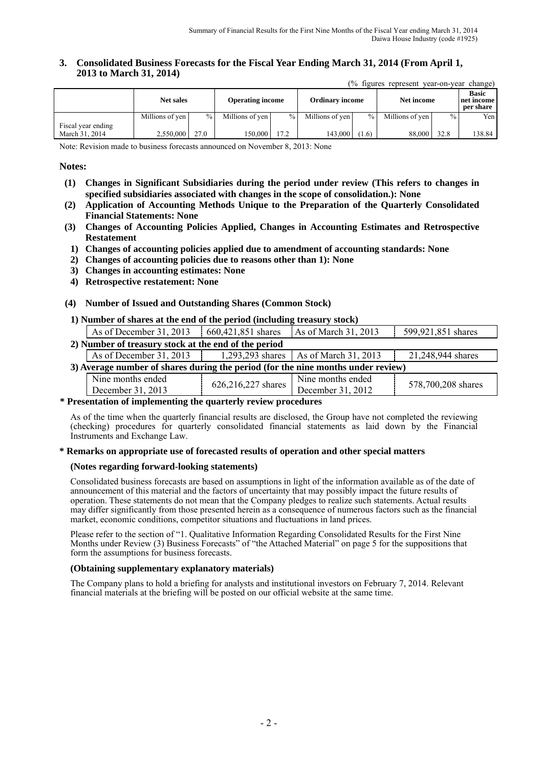### **3. Consolidated Business Forecasts for the Fiscal Year Ending March 31, 2014 (From April 1, 2013 to March 31, 2014)**

(% figures represent year-on-year change)

|                                      |                 | <b>Net sales</b> |                 | <b>Ordinary income</b><br><b>Operating income</b> |                 |               | Net income      |        | <b>Basic</b><br>net income<br>per share |
|--------------------------------------|-----------------|------------------|-----------------|---------------------------------------------------|-----------------|---------------|-----------------|--------|-----------------------------------------|
|                                      | Millions of yen | $\frac{0}{0}$    | Millions of yen | $\frac{0}{0}$                                     | Millions of yen | $\frac{0}{0}$ | Millions of yen | $\%$ . | Yen I                                   |
| Fiscal year ending<br>March 31, 2014 | 2.550.000       | 27.0             | 150.000 l       | 17.2                                              | 143,000         | (1.6)         | 88,000          | 32.8   | 138.84                                  |

Note: Revision made to business forecasts announced on November 8, 2013: None

### **Notes:**

- **(1) Changes in Significant Subsidiaries during the period under review (This refers to changes in specified subsidiaries associated with changes in the scope of consolidation.): None**
- **(2) Application of Accounting Methods Unique to the Preparation of the Quarterly Consolidated Financial Statements: None**
- **(3) Changes of Accounting Policies Applied, Changes in Accounting Estimates and Retrospective Restatement** 
	- **1) Changes of accounting policies applied due to amendment of accounting standards: None**
	- **2) Changes of accounting policies due to reasons other than 1): None**
	- **3) Changes in accounting estimates: None**
	- **4) Retrospective restatement: None**

## **(4) Number of Issued and Outstanding Shares (Common Stock)**

#### **1) Number of shares at the end of the period (including treasury stock)**

| As of December 31, 2013                                                          | $660,421,851$ shares | As of March 31, 2013                    | 599,921,851 shares |  |  |
|----------------------------------------------------------------------------------|----------------------|-----------------------------------------|--------------------|--|--|
| 2) Number of treasury stock at the end of the period                             |                      |                                         |                    |  |  |
| As of December 31, 2013                                                          |                      | 1,293,293 shares   As of March 31, 2013 | 21,248,944 shares  |  |  |
| 3) Average number of shares during the period (for the nine months under review) |                      |                                         |                    |  |  |
| Nine months ended<br>December 31, 2013                                           | 626,216,227 shares   | Nine months ended<br>December 31, 2012  | 578,700,208 shares |  |  |

#### **\* Presentation of implementing the quarterly review procedures**

As of the time when the quarterly financial results are disclosed, the Group have not completed the reviewing (checking) procedures for quarterly consolidated financial statements as laid down by the Financial Instruments and Exchange Law.

#### **\* Remarks on appropriate use of forecasted results of operation and other special matters**

#### **(Notes regarding forward-looking statements)**

Consolidated business forecasts are based on assumptions in light of the information available as of the date of announcement of this material and the factors of uncertainty that may possibly impact the future results of operation. These statements do not mean that the Company pledges to realize such statements. Actual results may differ significantly from those presented herein as a consequence of numerous factors such as the financial market, economic conditions, competitor situations and fluctuations in land prices.

Please refer to the section of "1. Qualitative Information Regarding Consolidated Results for the First Nine Months under Review (3) Business Forecasts" of "the Attached Material" on page 5 for the suppositions that form the assumptions for business forecasts.

#### **(Obtaining supplementary explanatory materials)**

The Company plans to hold a briefing for analysts and institutional investors on February 7, 2014. Relevant financial materials at the briefing will be posted on our official website at the same time.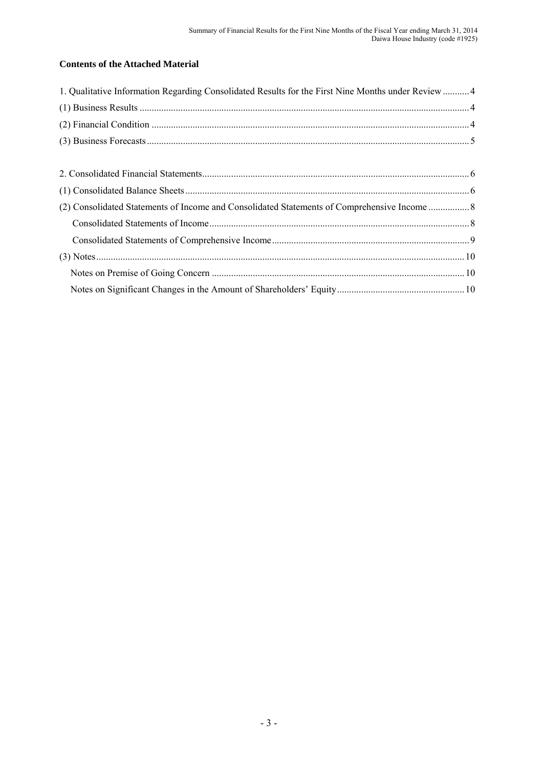# **Contents of the Attached Material**

| 1. Qualitative Information Regarding Consolidated Results for the First Nine Months under Review 4 |  |
|----------------------------------------------------------------------------------------------------|--|
|                                                                                                    |  |
|                                                                                                    |  |
|                                                                                                    |  |
|                                                                                                    |  |
|                                                                                                    |  |
|                                                                                                    |  |
|                                                                                                    |  |
|                                                                                                    |  |
|                                                                                                    |  |
|                                                                                                    |  |
|                                                                                                    |  |
|                                                                                                    |  |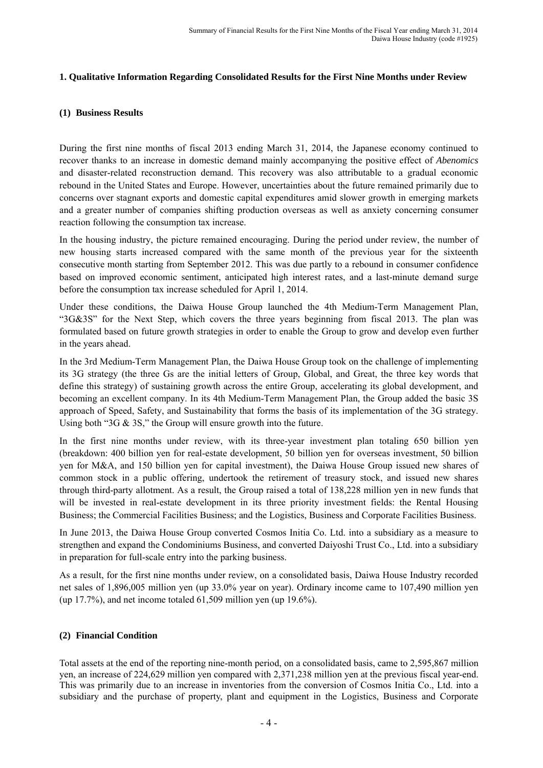## **1. Qualitative Information Regarding Consolidated Results for the First Nine Months under Review**

## **(1) Business Results**

During the first nine months of fiscal 2013 ending March 31, 2014, the Japanese economy continued to recover thanks to an increase in domestic demand mainly accompanying the positive effect of *Abenomics* and disaster-related reconstruction demand. This recovery was also attributable to a gradual economic rebound in the United States and Europe. However, uncertainties about the future remained primarily due to concerns over stagnant exports and domestic capital expenditures amid slower growth in emerging markets and a greater number of companies shifting production overseas as well as anxiety concerning consumer reaction following the consumption tax increase.

In the housing industry, the picture remained encouraging. During the period under review, the number of new housing starts increased compared with the same month of the previous year for the sixteenth consecutive month starting from September 2012. This was due partly to a rebound in consumer confidence based on improved economic sentiment, anticipated high interest rates, and a last-minute demand surge before the consumption tax increase scheduled for April 1, 2014.

Under these conditions, the Daiwa House Group launched the 4th Medium-Term Management Plan, "3G&3S" for the Next Step, which covers the three years beginning from fiscal 2013. The plan was formulated based on future growth strategies in order to enable the Group to grow and develop even further in the years ahead.

In the 3rd Medium-Term Management Plan, the Daiwa House Group took on the challenge of implementing its 3G strategy (the three Gs are the initial letters of Group, Global, and Great, the three key words that define this strategy) of sustaining growth across the entire Group, accelerating its global development, and becoming an excellent company. In its 4th Medium-Term Management Plan, the Group added the basic 3S approach of Speed, Safety, and Sustainability that forms the basis of its implementation of the 3G strategy. Using both "3G & 3S," the Group will ensure growth into the future.

In the first nine months under review, with its three-year investment plan totaling 650 billion yen (breakdown: 400 billion yen for real-estate development, 50 billion yen for overseas investment, 50 billion yen for M&A, and 150 billion yen for capital investment), the Daiwa House Group issued new shares of common stock in a public offering, undertook the retirement of treasury stock, and issued new shares through third-party allotment. As a result, the Group raised a total of 138,228 million yen in new funds that will be invested in real-estate development in its three priority investment fields: the Rental Housing Business; the Commercial Facilities Business; and the Logistics, Business and Corporate Facilities Business.

In June 2013, the Daiwa House Group converted Cosmos Initia Co. Ltd. into a subsidiary as a measure to strengthen and expand the Condominiums Business, and converted Daiyoshi Trust Co., Ltd. into a subsidiary in preparation for full-scale entry into the parking business.

As a result, for the first nine months under review, on a consolidated basis, Daiwa House Industry recorded net sales of 1,896,005 million yen (up 33.0% year on year). Ordinary income came to 107,490 million yen (up 17.7%), and net income totaled 61,509 million yen (up 19.6%).

## **(2) Financial Condition**

Total assets at the end of the reporting nine-month period, on a consolidated basis, came to 2,595,867 million yen, an increase of 224,629 million yen compared with 2,371,238 million yen at the previous fiscal year-end. This was primarily due to an increase in inventories from the conversion of Cosmos Initia Co., Ltd. into a subsidiary and the purchase of property, plant and equipment in the Logistics, Business and Corporate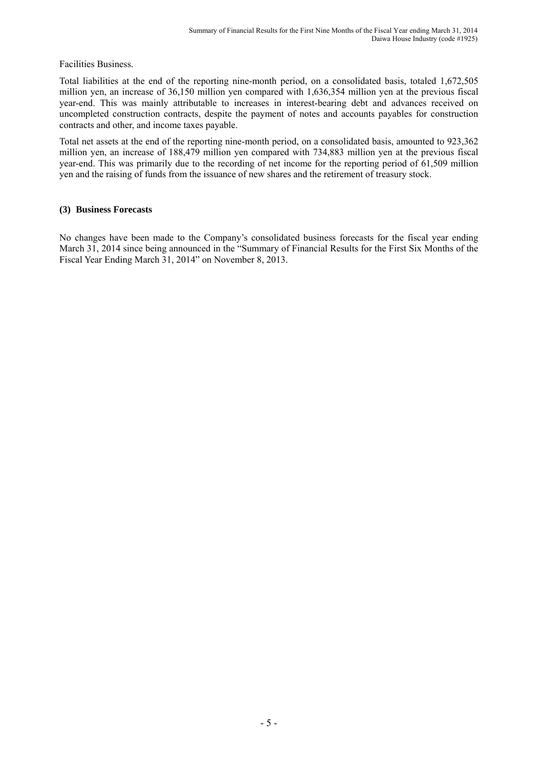Facilities Business.

Total liabilities at the end of the reporting nine-month period, on a consolidated basis, totaled 1,672,505 million yen, an increase of 36,150 million yen compared with 1,636,354 million yen at the previous fiscal year-end. This was mainly attributable to increases in interest-bearing debt and advances received on uncompleted construction contracts, despite the payment of notes and accounts payables for construction contracts and other, and income taxes payable.

Total net assets at the end of the reporting nine-month period, on a consolidated basis, amounted to 923,362 million yen, an increase of 188,479 million yen compared with 734,883 million yen at the previous fiscal year-end. This was primarily due to the recording of net income for the reporting period of 61,509 million yen and the raising of funds from the issuance of new shares and the retirement of treasury stock.

## **(3) Business Forecasts**

No changes have been made to the Company's consolidated business forecasts for the fiscal year ending March 31, 2014 since being announced in the "Summary of Financial Results for the First Six Months of the Fiscal Year Ending March 31, 2014" on November 8, 2013.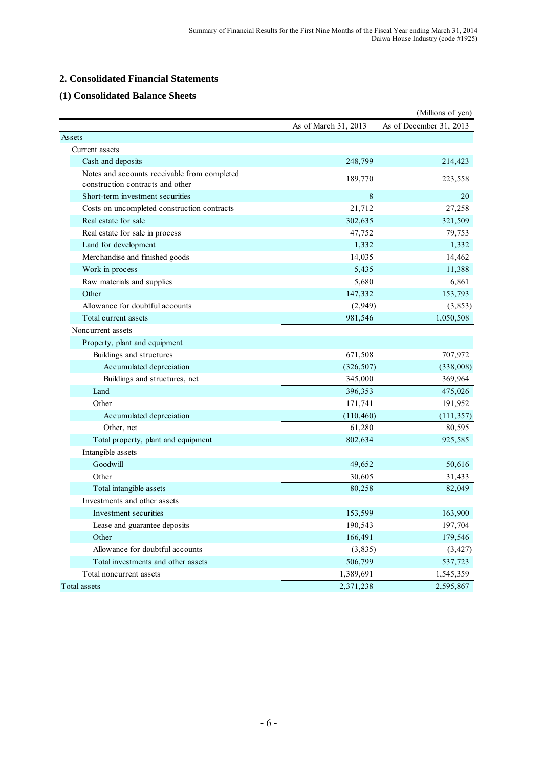# **2. Consolidated Financial Statements**

## **(1) Consolidated Balance Sheets**

|                                                                                  |                      | (Millions of yen)       |
|----------------------------------------------------------------------------------|----------------------|-------------------------|
|                                                                                  | As of March 31, 2013 | As of December 31, 2013 |
| Assets                                                                           |                      |                         |
| Current assets                                                                   |                      |                         |
| Cash and deposits                                                                | 248,799              | 214,423                 |
| Notes and accounts receivable from completed<br>construction contracts and other | 189,770              | 223,558                 |
| Short-term investment securities                                                 | 8                    | 20                      |
| Costs on uncompleted construction contracts                                      | 21,712               | 27,258                  |
| Real estate for sale                                                             | 302,635              | 321,509                 |
| Real estate for sale in process                                                  | 47,752               | 79,753                  |
| Land for development                                                             | 1,332                | 1,332                   |
| Merchandise and finished goods                                                   | 14,035               | 14,462                  |
| Work in process                                                                  | 5,435                | 11,388                  |
| Raw materials and supplies                                                       | 5,680                | 6,861                   |
| Other                                                                            | 147,332              | 153,793                 |
| Allowance for doubtful accounts                                                  | (2,949)              | (3, 853)                |
| Total current assets                                                             | 981,546              | 1,050,508               |
| Noncurrent assets                                                                |                      |                         |
| Property, plant and equipment                                                    |                      |                         |
| Buildings and structures                                                         | 671,508              | 707,972                 |
| Accumulated depreciation                                                         | (326, 507)           | (338,008)               |
| Buildings and structures, net                                                    | 345,000              | 369,964                 |
| Land                                                                             | 396,353              | 475,026                 |
| Other                                                                            | 171,741              | 191,952                 |
| Accumulated depreciation                                                         | (110, 460)           | (111, 357)              |
| Other, net                                                                       | 61,280               | 80,595                  |
| Total property, plant and equipment                                              | 802,634              | 925,585                 |
| Intangible assets                                                                |                      |                         |
| Goodwill                                                                         | 49,652               | 50,616                  |
| Other                                                                            | 30,605               | 31,433                  |
| Total intangible assets                                                          | 80,258               | 82,049                  |
| Investments and other assets                                                     |                      |                         |
| Investment securities                                                            | 153,599              | 163,900                 |
| Lease and guarantee deposits                                                     | 190,543              | 197,704                 |
| Other                                                                            | 166,491              | 179,546                 |
| Allowance for doubtful accounts                                                  | (3, 835)             | (3, 427)                |
| Total investments and other assets                                               | 506,799              | 537,723                 |
| Total noncurrent assets                                                          | 1,389,691            | 1,545,359               |
| Total assets                                                                     | 2,371,238            | 2,595,867               |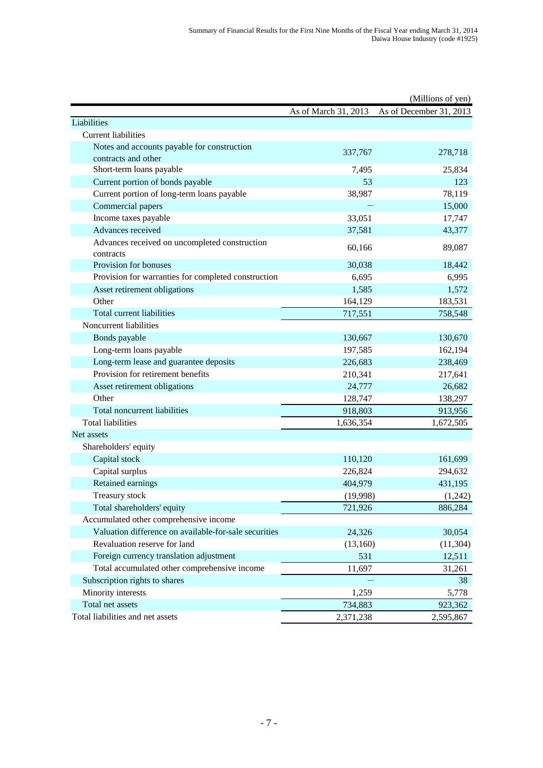|                                                       |                      | (Millions of yen)       |
|-------------------------------------------------------|----------------------|-------------------------|
|                                                       | As of March 31, 2013 | As of December 31, 2013 |
| Liabilities                                           |                      |                         |
| <b>Current liabilities</b>                            |                      |                         |
| Notes and accounts payable for construction           | 337,767              | 278,718                 |
| contracts and other                                   |                      |                         |
| Short-term loans payable                              | 7,495                | 25,834                  |
| Current portion of bonds payable                      | 53                   | 123                     |
| Current portion of long-term loans payable            | 38,987               | 78,119                  |
| Commercial papers                                     |                      | 15,000                  |
| Income taxes payable                                  | 33,051               | 17,747                  |
| Advances received                                     | 37,581               | 43,377                  |
| Advances received on uncompleted construction         | 60,166               | 89,087                  |
| contracts                                             |                      |                         |
| Provision for bonuses                                 | 30,038               | 18,442                  |
| Provision for warranties for completed construction   | 6,695                | 6,995                   |
| Asset retirement obligations                          | 1,585                | 1,572                   |
| Other                                                 | 164,129              | 183,531                 |
| Total current liabilities                             | 717,551              | 758,548                 |
| Noncurrent liabilities                                |                      |                         |
| Bonds payable                                         | 130,667              | 130,670                 |
| Long-term loans payable                               | 197,585              | 162,194                 |
| Long-term lease and guarantee deposits                | 226,683              | 238,469                 |
| Provision for retirement benefits                     | 210,341              | 217,641                 |
| Asset retirement obligations                          | 24,777               | 26,682                  |
| Other                                                 | 128,747              | 138,297                 |
| Total noncurrent liabilities                          | 918,803              | 913,956                 |
| <b>Total liabilities</b>                              | 1,636,354            | 1,672,505               |
| Net assets                                            |                      |                         |
| Shareholders' equity                                  |                      |                         |
| Capital stock                                         | 110,120              | 161,699                 |
| Capital surplus                                       | 226,824              | 294,632                 |
| Retained earnings                                     | 404,979              | 431,195                 |
| Treasury stock                                        | (19,998)             | (1,242)                 |
| Total shareholders' equity                            | 721,926              | 886,284                 |
| Accumulated other comprehensive income                |                      |                         |
| Valuation difference on available-for-sale securities | 24,326               | 30,054                  |
| Revaluation reserve for land                          | (13,160)             | (11, 304)               |
| Foreign currency translation adjustment               | 531                  | 12,511                  |
| Total accumulated other comprehensive income          | 11,697               | 31,261                  |
| Subscription rights to shares                         |                      | 38                      |
| Minority interests                                    | 1,259                | 5,778                   |
| Total net assets                                      | 734,883              | 923,362                 |
| Total liabilities and net assets                      | 2,371,238            | 2,595,867               |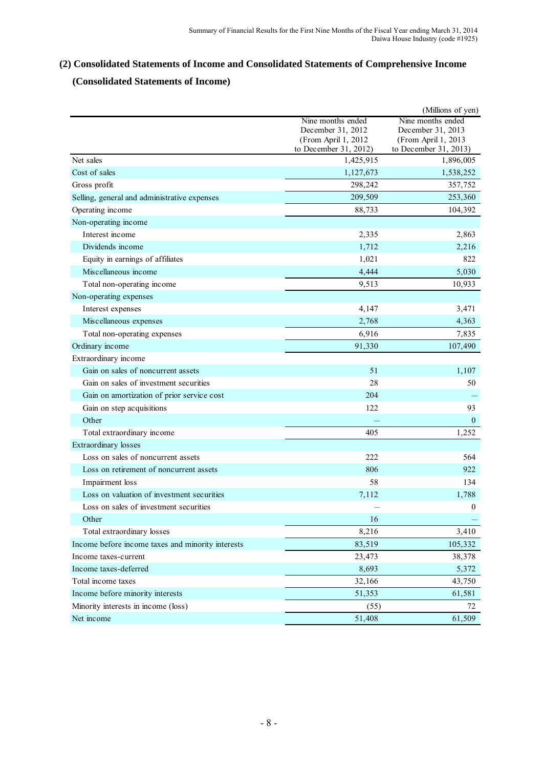# **(2) Consolidated Statements of Income and Consolidated Statements of Comprehensive Income**

# **(Consolidated Statements of Income)**

|                                                   |                                          | (Millions of yen)                        |
|---------------------------------------------------|------------------------------------------|------------------------------------------|
|                                                   | Nine months ended                        | Nine months ended                        |
|                                                   | December 31, 2012<br>(From April 1, 2012 | December 31, 2013<br>(From April 1, 2013 |
|                                                   | to December 31, 2012)                    | to December 31, 2013)                    |
| Net sales                                         | 1,425,915                                | 1,896,005                                |
| Cost of sales                                     | 1,127,673                                | 1,538,252                                |
| Gross profit                                      | 298,242                                  | 357,752                                  |
| Selling, general and administrative expenses      | 209,509                                  | 253,360                                  |
| Operating income                                  | 88,733                                   | 104,392                                  |
| Non-operating income                              |                                          |                                          |
| Interest income                                   | 2,335                                    | 2,863                                    |
| Dividends income                                  | 1,712                                    | 2,216                                    |
| Equity in earnings of affiliates                  | 1,021                                    | 822                                      |
| Miscellaneous income                              | 4,444                                    | 5,030                                    |
| Total non-operating income                        | 9,513                                    | 10,933                                   |
| Non-operating expenses                            |                                          |                                          |
| Interest expenses                                 | 4,147                                    | 3,471                                    |
| Miscellaneous expenses                            | 2,768                                    | 4,363                                    |
| Total non-operating expenses                      | 6,916                                    | 7,835                                    |
| Ordinary income                                   | 91,330                                   | 107,490                                  |
| Extraordinary income                              |                                          |                                          |
| Gain on sales of noncurrent assets                | 51                                       | 1,107                                    |
| Gain on sales of investment securities            | 28                                       | 50                                       |
| Gain on amortization of prior service cost        | 204                                      |                                          |
| Gain on step acquisitions                         | 122                                      | 93                                       |
| Other                                             |                                          | $\mathbf{0}$                             |
| Total extraordinary income                        | 405                                      | 1,252                                    |
| Extraordinary losses                              |                                          |                                          |
| Loss on sales of noncurrent assets                | 222                                      | 564                                      |
| Loss on retirement of noncurrent assets           | 806                                      | 922                                      |
| Impairment loss                                   | 58                                       | 134                                      |
| Loss on valuation of investment securities        | 7,112                                    | 1,788                                    |
| Loss on sales of investment securities            |                                          | $\boldsymbol{0}$                         |
| Other                                             | 16                                       |                                          |
| Total extraordinary losses                        | 8,216                                    | 3,410                                    |
| Income before income taxes and minority interests | 83,519                                   | 105,332                                  |
| Income taxes-current                              | 23,473                                   | 38,378                                   |
| Income taxes-deferred                             | 8,693                                    | 5,372                                    |
| Total income taxes                                | 32,166                                   | 43,750                                   |
| Income before minority interests                  | 51,353                                   | 61,581                                   |
| Minority interests in income (loss)               | (55)                                     | 72                                       |
| Net income                                        | 51,408                                   | 61,509                                   |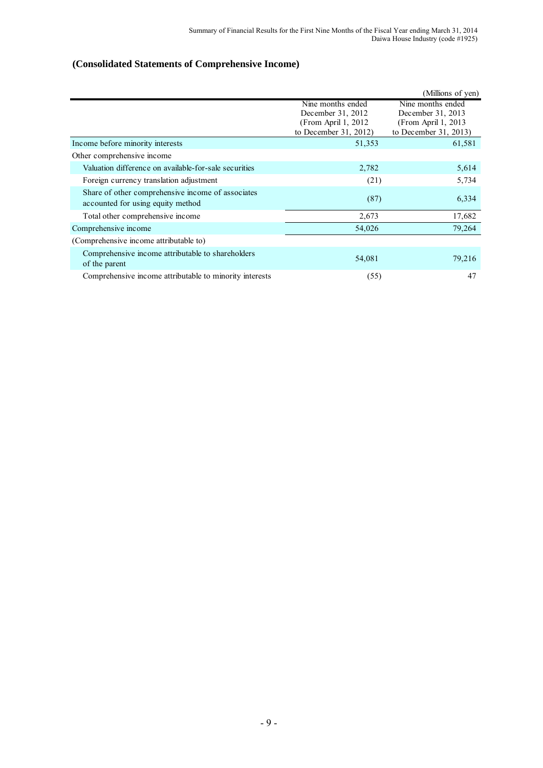# **(Consolidated Statements of Comprehensive Income)**

|                                                         |                       | (Millions of yen)     |
|---------------------------------------------------------|-----------------------|-----------------------|
|                                                         | Nine months ended     | Nine months ended     |
|                                                         | December 31, 2012     | December 31, 2013     |
|                                                         | (From April 1, 2012)  | (From April 1, 2013)  |
|                                                         | to December 31, 2012) | to December 31, 2013) |
| Income before minority interests                        | 51,353                | 61,581                |
| Other comprehensive income                              |                       |                       |
| Valuation difference on available-for-sale securities   | 2,782                 | 5,614                 |
| Foreign currency translation adjustment                 | (21)                  | 5,734                 |
| Share of other comprehensive income of associates       |                       |                       |
| accounted for using equity method                       | (87)                  | 6,334                 |
| Total other comprehensive income                        | 2,673                 | 17,682                |
| Comprehensive income                                    | 54,026                | 79,264                |
| (Comprehensive income attributable to)                  |                       |                       |
| Comprehensive income attributable to shareholders       |                       |                       |
| of the parent                                           | 54,081                | 79,216                |
| Comprehensive income attributable to minority interests | (55)                  | 47                    |